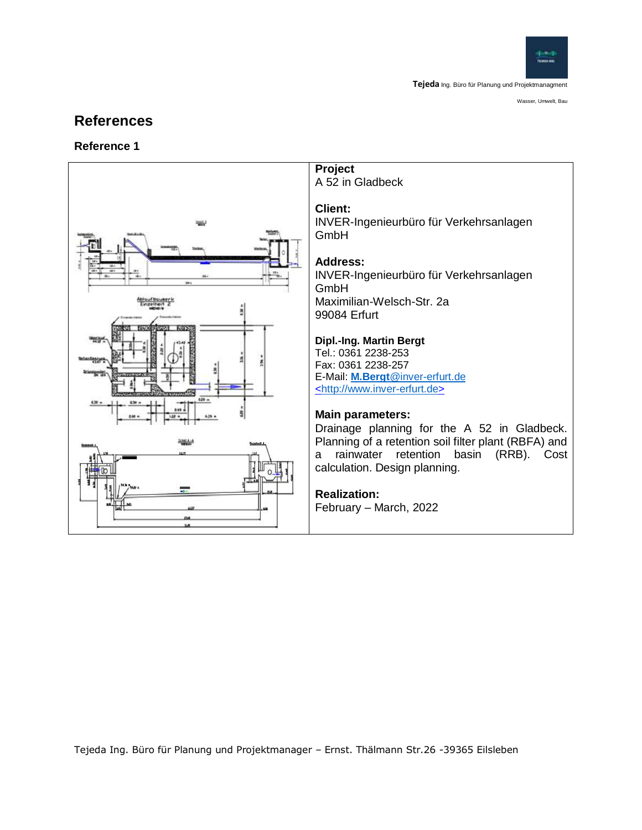

# **References**

#### **Reference 1**

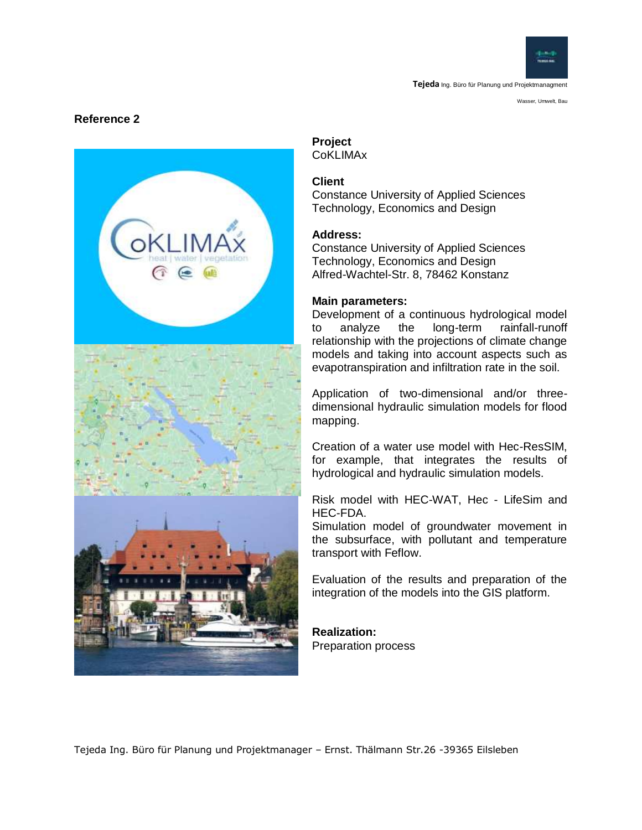

Wasser, Umwelt, Bau

#### **Reference 2**



#### **Project** CoKLIMAx

# **Client**

Constance University of Applied Sciences Technology, Economics and Design

#### **Address:**

Constance University of Applied Sciences Technology, Economics and Design Alfred-Wachtel-Str. 8, 78462 Konstanz

#### **Main parameters:**

Development of a continuous hydrological model to analyze the long-term rainfall-runoff relationship with the projections of climate change models and taking into account aspects such as evapotranspiration and infiltration rate in the soil.

Application of two-dimensional and/or threedimensional hydraulic simulation models for flood mapping.

Creation of a water use model with Hec-ResSIM, for example, that integrates the results of hydrological and hydraulic simulation models.

Risk model with HEC-WAT, Hec - LifeSim and HEC-FDA.

Simulation model of groundwater movement in the subsurface, with pollutant and temperature transport with Feflow.

Evaluation of the results and preparation of the integration of the models into the GIS platform.

**Realization:** Preparation process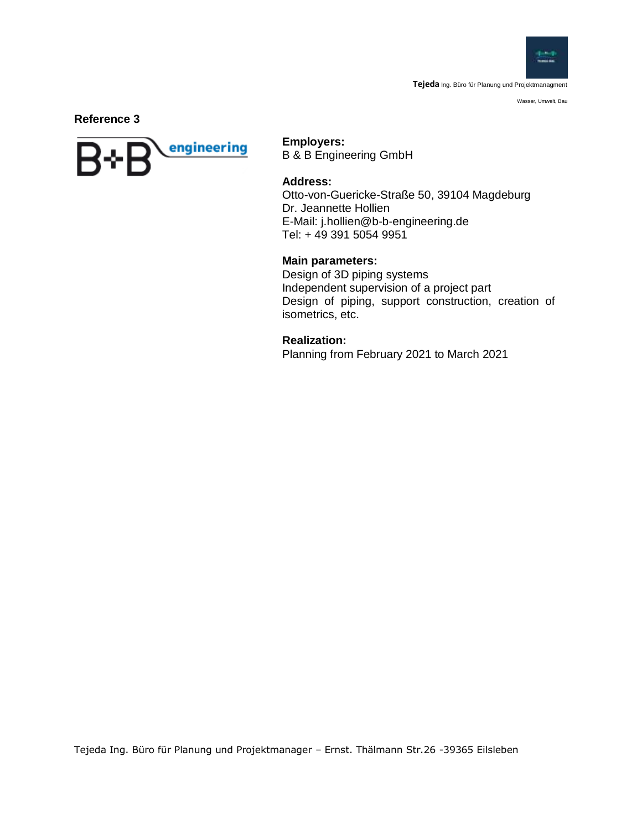

Wasser, Umwelt, Bau

**Reference 3**



**Employers:** 

B & B Engineering GmbH

#### **Address:**

Otto-von-Guericke-Straße 50, 39104 Magdeburg Dr. Jeannette Hollien E-Mail: j.hollien@b-b-engineering.de Tel: + 49 391 5054 9951

#### **Main parameters:**

Design of 3D piping systems Independent supervision of a project part Design of piping, support construction, creation of isometrics, etc.

**Realization:** Planning from February 2021 to March 2021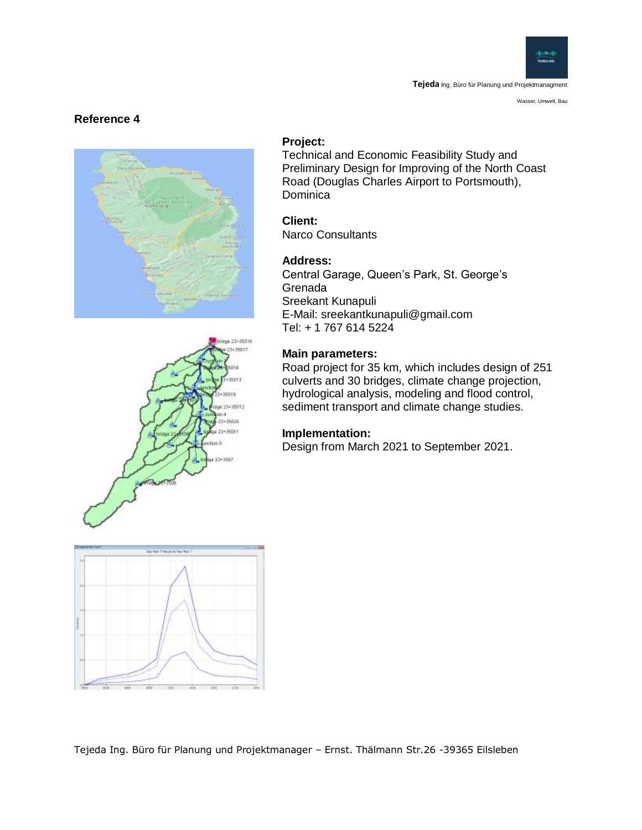

Wasser, Umwelt, Bau

#### **Reference 4**





#### **Project:**

Technical and Economic Feasibility Study and Preliminary Design for Improving of the North Coast Road (Douglas Charles Airport to Portsmouth), **Dominica** 

## **Client:**

Narco Consultants

#### **Address:**

Central Garage, Queen's Park, St. George's Grenada Sreekant Kunapuli E-Mail: sreekantkunapuli@gmail.com Tel: + 1 767 614 5224

#### **Main parameters:**

Road project for 35 km, which includes design of 251 culverts and 30 bridges, climate change projection, hydrological analysis, modeling and flood control, sediment transport and climate change studies.

#### **Implementation:**

Design from March 2021 to September 2021.

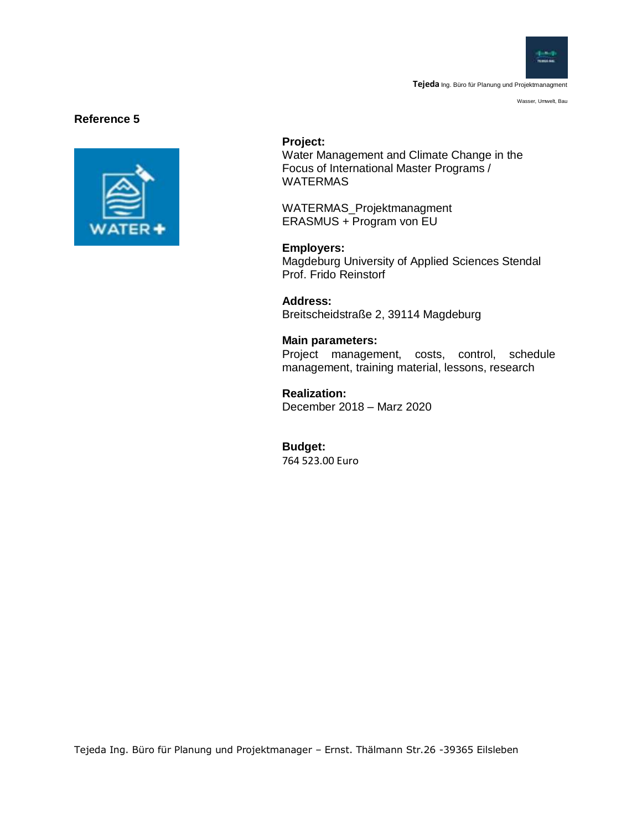

Wasser, Umwelt, Bau

#### **Reference 5**



#### **Project:**

Water Management and Climate Change in the Focus of International Master Programs / WATERMAS

WATERMAS\_Projektmanagment ERASMUS + Program von EU

**Employers:** 

Magdeburg University of Applied Sciences Stendal Prof. Frido Reinstorf

**Address:**  Breitscheidstraße 2, 39114 Magdeburg

**Main parameters:** Project management, costs, control, schedule management, training material, lessons, research

**Realization:** December 2018 – Marz 2020

**Budget:** 764 523.00 Euro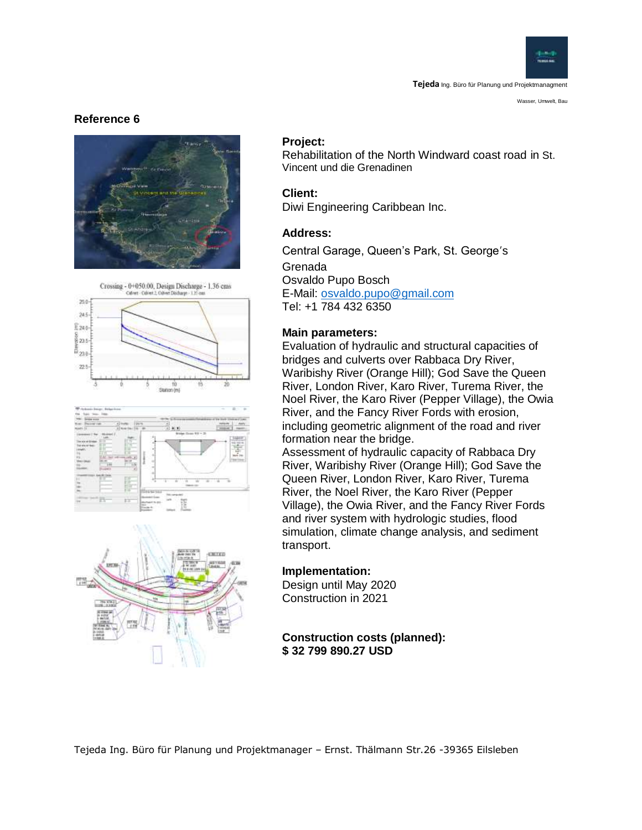

Wasser, Umwelt, Bau

#### **Reference 6**











#### **Project:**

Rehabilitation of the North Windward coast road in St. Vincent und die Grenadinen

#### **Client:**

Diwi Engineering Caribbean Inc.

#### **Address:**

Central Garage, Queen's Park, St. George's Grenada Osvaldo Pupo Bosch E-Mail: [osvaldo.pupo@gmail.com](mailto:osvaldo.pupo@gmail.com) Tel: +1 784 432 6350

#### **Main parameters:**

Evaluation of hydraulic and structural capacities of bridges and culverts over Rabbaca Dry River, Waribishy River (Orange Hill); God Save the Queen River, London River, Karo River, Turema River, the Noel River, the Karo River (Pepper Village), the Owia River, and the Fancy River Fords with erosion, including geometric alignment of the road and river formation near the bridge.

Assessment of hydraulic capacity of Rabbaca Dry River, Waribishy River (Orange Hill); God Save the Queen River, London River, Karo River, Turema River, the Noel River, the Karo River (Pepper Village), the Owia River, and the Fancy River Fords and river system with hydrologic studies, flood simulation, climate change analysis, and sediment transport.

#### **Implementation:**

Design until May 2020 Construction in 2021

#### **Construction costs (planned): \$ 32 799 890.27 USD**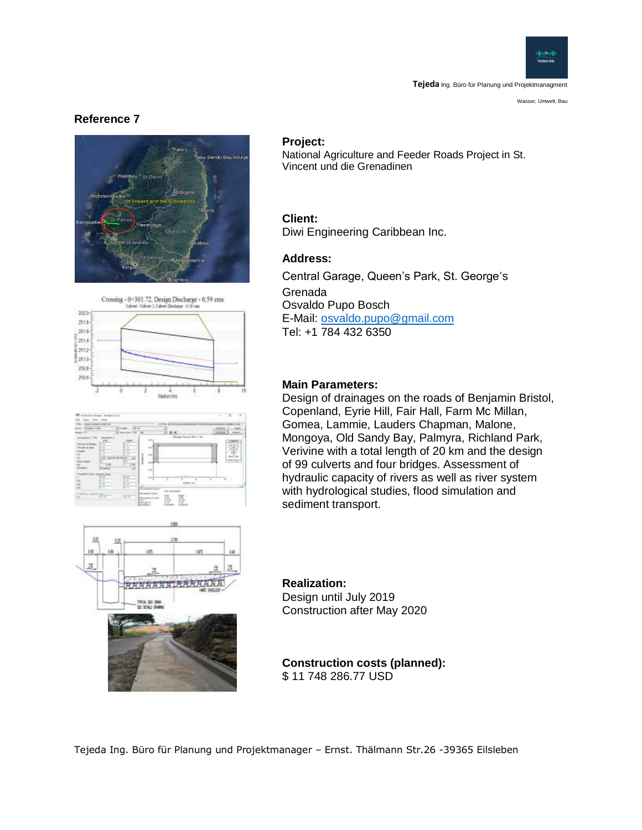

Wasser, Umwelt, Bau

#### **Reference 7**







# X. Ŕ **SARANTAARAAR**

#### **Project:**

National Agriculture and Feeder Roads Project in St. Vincent und die Grenadinen

#### **Client:**

Diwi Engineering Caribbean Inc.

#### **Address:**

Central Garage, Queen's Park, St. George's Grenada Osvaldo Pupo Bosch E-Mail: [osvaldo.pupo@gmail.com](mailto:osvaldo.pupo@gmail.com) Tel: +1 784 432 6350

#### **Main Parameters:**

Design of drainages on the roads of Benjamin Bristol, Copenland, Eyrie Hill, Fair Hall, Farm Mc Millan, Gomea, Lammie, Lauders Chapman, Malone, Mongoya, Old Sandy Bay, Palmyra, Richland Park, Verivine with a total length of 20 km and the design of 99 culverts and four bridges. Assessment of hydraulic capacity of rivers as well as river system with hydrological studies, flood simulation and sediment transport.

# **Realization:**

Design until July 2019 Construction after May 2020

#### **Construction costs (planned):** \$ 11 748 286.77 USD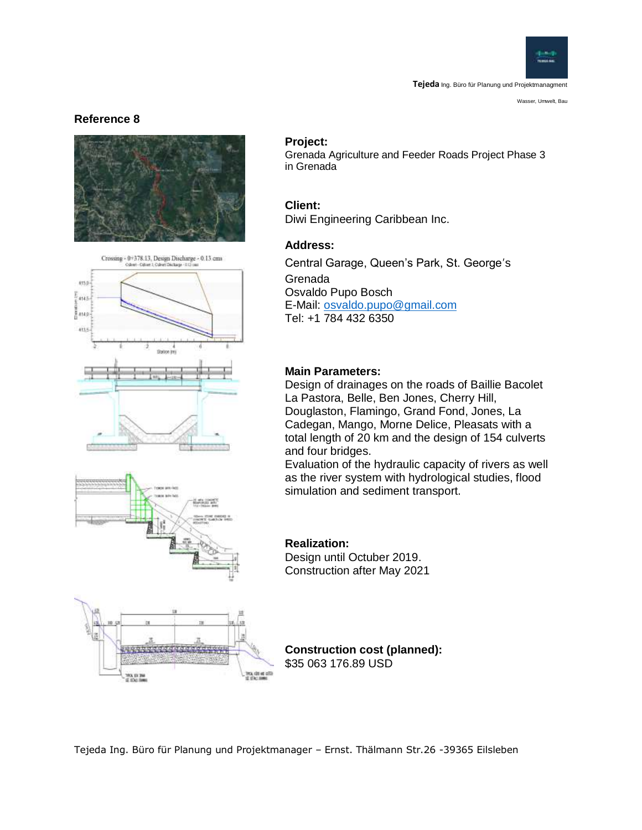

Wasser, Umwelt, Bau

#### **Reference 8**



Crossing - 0+378.13, Design Discharge - 0.13 cms



93. OL 2W

#### **Project:**

Grenada Agriculture and Feeder Roads Project Phase 3 in Grenada

#### **Client:**

Diwi Engineering Caribbean Inc.

#### **Address:**

Central Garage, Queen's Park, St. George's Grenada Osvaldo Pupo Bosch E-Mail: [osvaldo.pupo@gmail.com](mailto:osvaldo.pupo@gmail.com) Tel: +1 784 432 6350

#### **Main Parameters:**

Design of drainages on the roads of Baillie Bacolet La Pastora, Belle, Ben Jones, Cherry Hill, Douglaston, Flamingo, Grand Fond, Jones, La Cadegan, Mango, Morne Delice, Pleasats with a total length of 20 km and the design of 154 culverts and four bridges.

Evaluation of the hydraulic capacity of rivers as well as the river system with hydrological studies, flood simulation and sediment transport.

#### **Realization:** Design until Octuber 2019. Construction after May 2021

**Construction cost (planned):** \$35 063 176.89 USD

Tejeda Ing. Büro für Planung und Projektmanager – Ernst. Thälmann Str.26 -39365 Eilsleben

IMCA, ISBN 4814773<br>BF (Flia.), Idamas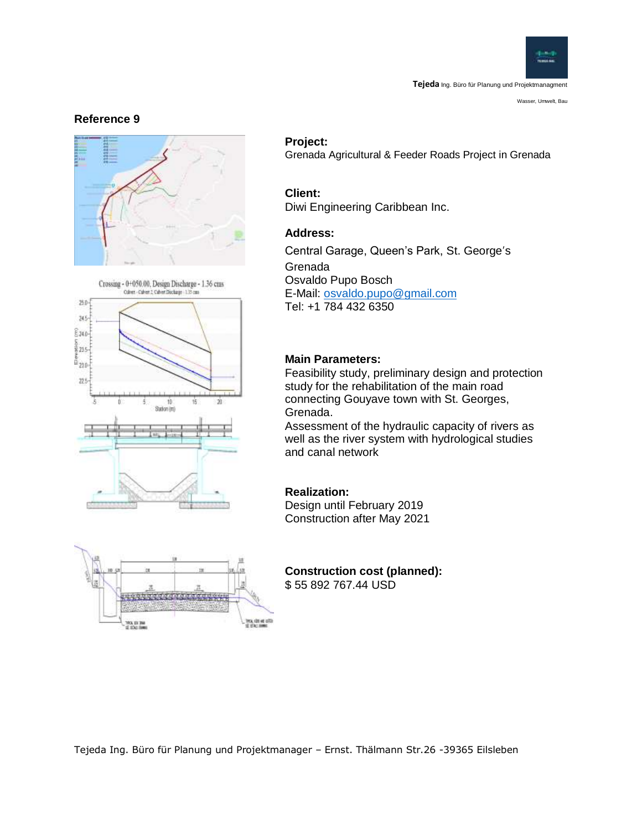

Wasser, Umwelt, Bau

#### **Reference 9**







#### **Project:**

Grenada Agricultural & Feeder Roads Project in Grenada

#### **Client:**

Diwi Engineering Caribbean Inc.

#### **Address:**

Central Garage, Queen's Park, St. George's Grenada Osvaldo Pupo Bosch E-Mail: [osvaldo.pupo@gmail.com](mailto:osvaldo.pupo@gmail.com) Tel: +1 784 432 6350

#### **Main Parameters:**

Feasibility study, preliminary design and protection study for the rehabilitation of the main road connecting Gouyave town with St. Georges, Grenada.

Assessment of the hydraulic capacity of rivers as well as the river system with hydrological studies and canal network

#### **Realization:**

Design until February 2019 Construction after May 2021

**Construction cost (planned):** \$ 55 892 767.44 USD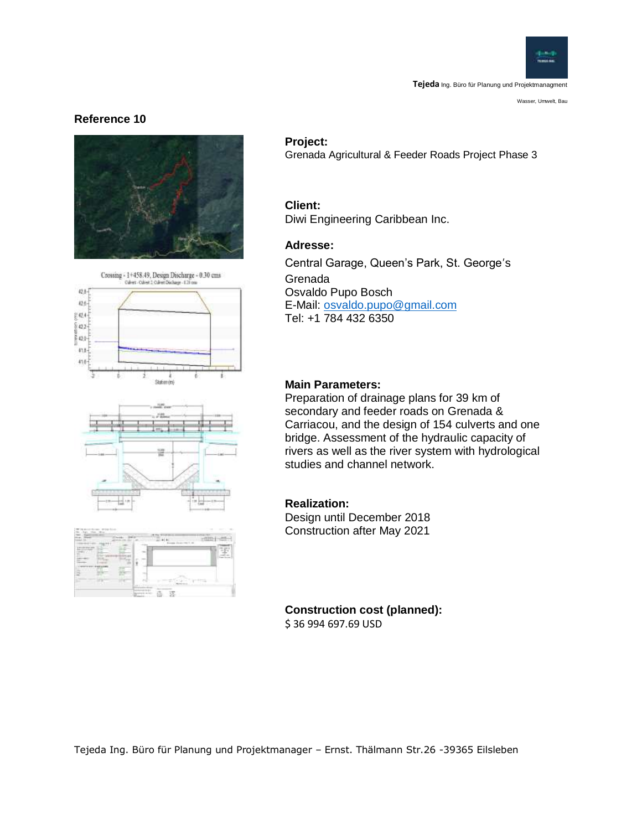

Wasser, Umwelt, Bau

#### **Reference 10**









#### **Project:**

Grenada Agricultural & Feeder Roads Project Phase 3

#### **Client:** Diwi Engineering Caribbean Inc.

#### **Adresse:**

Central Garage, Queen's Park, St. George's Grenada Osvaldo Pupo Bosch E-Mail: [osvaldo.pupo@gmail.com](mailto:osvaldo.pupo@gmail.com) Tel: +1 784 432 6350

#### **Main Parameters:**

Preparation of drainage plans for 39 km of secondary and feeder roads on Grenada & Carriacou, and the design of 154 culverts and one bridge. Assessment of the hydraulic capacity of rivers as well as the river system with hydrological studies and channel network.

#### **Realization:**

Design until December 2018 Construction after May 2021

#### **Construction cost (planned):** \$ 36 994 697.69 USD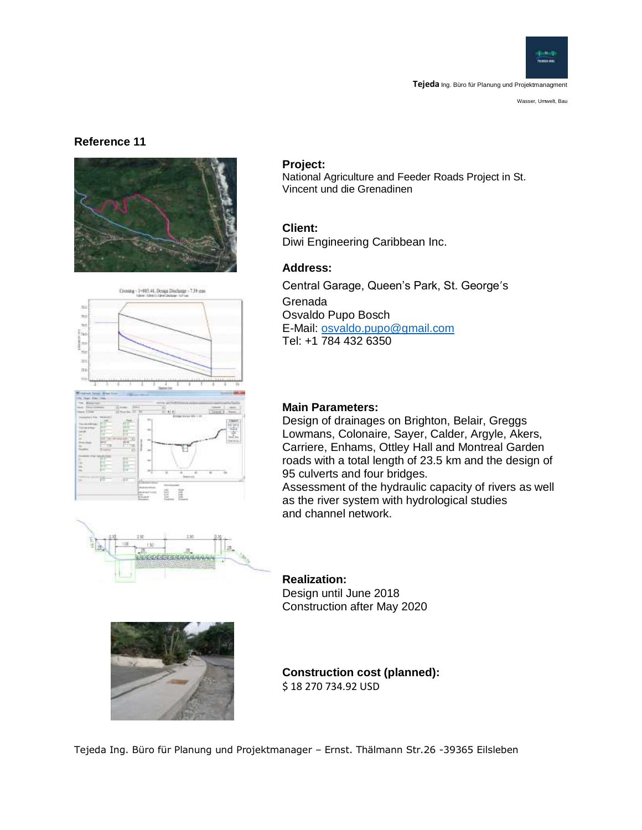

Wasser, Umwelt, Bau

#### **Reference 11**







# addddarainn



#### **Project:**

National Agriculture and Feeder Roads Project in St. Vincent und die Grenadinen

#### **Client:**

Diwi Engineering Caribbean Inc.

#### **Address:**

Central Garage, Queen's Park, St. George's Grenada Osvaldo Pupo Bosch E-Mail: [osvaldo.pupo@gmail.com](mailto:osvaldo.pupo@gmail.com) Tel: +1 784 432 6350

## **Main Parameters:**

Design of drainages on Brighton, Belair, Greggs Lowmans, Colonaire, Sayer, Calder, Argyle, Akers, Carriere, Enhams, Ottley Hall and Montreal Garden roads with a total length of 23.5 km and the design of 95 culverts and four bridges.

Assessment of the hydraulic capacity of rivers as well as the river system with hydrological studies and channel network.

# **Realization:**

Design until June 2018 Construction after May 2020

**Construction cost (planned):** \$ 18 270 734.92 USD